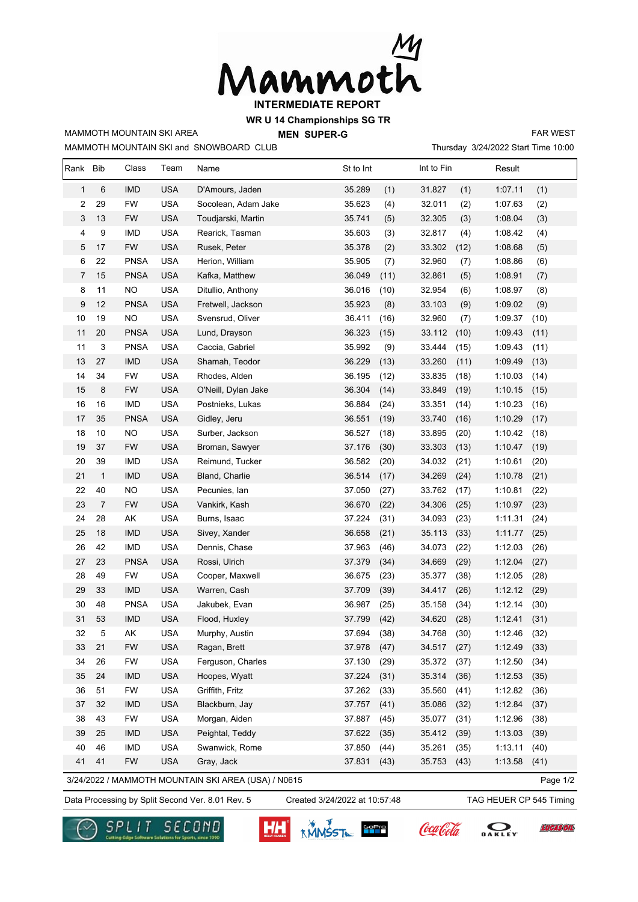

**WR U 14 Championships SG TR**

MAMMOTH MOUNTAIN SKI and SNOWBOARD CLUB MAMMOTH MOUNTAIN SKI AREA

**MEN SUPER-G** 

Thursday 3/24/2022 Start Time 10:00 FAR WEST

| Rank                                                            | <b>Bib</b>   | Class       | Team       | Name                | St to Int      | Int to Fin     | Result          |  |
|-----------------------------------------------------------------|--------------|-------------|------------|---------------------|----------------|----------------|-----------------|--|
| $\mathbf{1}$                                                    | 6            | <b>IMD</b>  | <b>USA</b> | D'Amours, Jaden     | 35.289<br>(1)  | 31.827<br>(1)  | 1:07.11<br>(1)  |  |
| 2                                                               | 29           | FW          | <b>USA</b> | Socolean, Adam Jake | 35.623<br>(4)  | 32.011<br>(2)  | 1:07.63<br>(2)  |  |
| 3                                                               | 13           | <b>FW</b>   | <b>USA</b> | Toudjarski, Martin  | 35.741<br>(5)  | 32.305<br>(3)  | 1:08.04<br>(3)  |  |
| 4                                                               | 9            | <b>IMD</b>  | <b>USA</b> | Rearick, Tasman     | 35.603<br>(3)  | 32.817<br>(4)  | 1:08.42<br>(4)  |  |
| 5                                                               | 17           | FW          | <b>USA</b> | Rusek, Peter        | 35.378<br>(2)  | (12)<br>33.302 | 1:08.68<br>(5)  |  |
| 6                                                               | 22           | <b>PNSA</b> | <b>USA</b> | Herion, William     | 35.905<br>(7)  | 32.960<br>(7)  | 1:08.86<br>(6)  |  |
| 7                                                               | 15           | <b>PNSA</b> | <b>USA</b> | Kafka, Matthew      | 36.049<br>(11) | 32.861<br>(5)  | 1:08.91<br>(7)  |  |
| 8                                                               | 11           | <b>NO</b>   | <b>USA</b> | Ditullio, Anthony   | 36.016<br>(10) | 32.954<br>(6)  | 1:08.97<br>(8)  |  |
| 9                                                               | 12           | <b>PNSA</b> | <b>USA</b> | Fretwell, Jackson   | 35.923<br>(8)  | 33.103<br>(9)  | 1:09.02<br>(9)  |  |
| 10                                                              | 19           | <b>NO</b>   | <b>USA</b> | Svensrud, Oliver    | 36.411<br>(16) | 32.960<br>(7)  | (10)<br>1:09.37 |  |
| 11                                                              | 20           | <b>PNSA</b> | <b>USA</b> | Lund, Drayson       | 36.323<br>(15) | (10)<br>33.112 | 1:09.43<br>(11) |  |
| 11                                                              | 3            | <b>PNSA</b> | <b>USA</b> | Caccia, Gabriel     | 35.992<br>(9)  | 33.444<br>(15) | 1:09.43<br>(11) |  |
| 13                                                              | 27           | <b>IMD</b>  | <b>USA</b> | Shamah, Teodor      | 36.229<br>(13) | 33.260<br>(11) | 1:09.49<br>(13) |  |
| 14                                                              | 34           | FW          | <b>USA</b> | Rhodes, Alden       | 36.195<br>(12) | 33.835<br>(18) | 1:10.03<br>(14) |  |
| 15                                                              | 8            | <b>FW</b>   | <b>USA</b> | O'Neill, Dylan Jake | 36.304<br>(14) | 33.849<br>(19) | 1:10.15<br>(15) |  |
| 16                                                              | 16           | <b>IMD</b>  | <b>USA</b> | Postnieks, Lukas    | 36.884<br>(24) | 33.351<br>(14) | 1:10.23<br>(16) |  |
| 17                                                              | 35           | <b>PNSA</b> | <b>USA</b> | Gidley, Jeru        | 36.551<br>(19) | 33.740<br>(16) | 1:10.29<br>(17) |  |
| 18                                                              | 10           | <b>NO</b>   | <b>USA</b> | Surber, Jackson     | 36.527<br>(18) | 33.895<br>(20) | 1:10.42<br>(18) |  |
| 19                                                              | 37           | <b>FW</b>   | <b>USA</b> | Broman, Sawyer      | 37.176<br>(30) | 33.303<br>(13) | 1:10.47<br>(19) |  |
| 20                                                              | 39           | <b>IMD</b>  | <b>USA</b> | Reimund, Tucker     | 36.582<br>(20) | 34.032<br>(21) | 1:10.61<br>(20) |  |
| 21                                                              | $\mathbf{1}$ | <b>IMD</b>  | <b>USA</b> | Bland, Charlie      | 36.514<br>(17) | 34.269<br>(24) | 1:10.78<br>(21) |  |
| 22                                                              | 40           | NO.         | <b>USA</b> | Pecunies, Ian       | 37.050<br>(27) | 33.762<br>(17) | (22)<br>1:10.81 |  |
| 23                                                              | 7            | <b>FW</b>   | <b>USA</b> | Vankirk, Kash       | 36.670<br>(22) | 34.306<br>(25) | 1:10.97<br>(23) |  |
| 24                                                              | 28           | AK          | <b>USA</b> | Burns, Isaac        | 37.224<br>(31) | 34.093<br>(23) | 1:11.31<br>(24) |  |
| 25                                                              | 18           | <b>IMD</b>  | <b>USA</b> | Sivey, Xander       | 36.658<br>(21) | 35.113<br>(33) | 1:11.77<br>(25) |  |
| 26                                                              | 42           | <b>IMD</b>  | <b>USA</b> | Dennis, Chase       | 37.963<br>(46) | 34.073<br>(22) | 1:12.03<br>(26) |  |
| 27                                                              | 23           | <b>PNSA</b> | <b>USA</b> | Rossi, Ulrich       | 37.379<br>(34) | 34.669<br>(29) | 1:12.04<br>(27) |  |
| 28                                                              | 49           | <b>FW</b>   | <b>USA</b> | Cooper, Maxwell     | 36.675<br>(23) | 35.377<br>(38) | 1:12.05<br>(28) |  |
| 29                                                              | 33           | <b>IMD</b>  | <b>USA</b> | Warren, Cash        | 37.709<br>(39) | 34.417<br>(26) | 1:12.12<br>(29) |  |
| 30                                                              | 48           | <b>PNSA</b> | <b>USA</b> | Jakubek, Evan       | 36.987<br>(25) | 35.158<br>(34) | 1:12.14<br>(30) |  |
| 31                                                              | 53           | <b>IMD</b>  | <b>USA</b> | Flood, Huxley       | 37.799<br>(42) | 34.620<br>(28) | (31)<br>1:12.41 |  |
| 32                                                              | 5            | AK          | <b>USA</b> | Murphy, Austin      | 37.694<br>(38) | 34.768<br>(30) | 1:12.46<br>(32) |  |
| 33                                                              | 21           | FW          | <b>USA</b> | Ragan, Brett        | 37.978<br>(47) | (27)<br>34.517 | 1:12.49<br>(33) |  |
| 34                                                              | 26           | FW          | <b>USA</b> | Ferguson, Charles   | 37.130<br>(29) | 35.372<br>(37) | 1:12.50<br>(34) |  |
| 35                                                              | 24           | <b>IMD</b>  | <b>USA</b> | Hoopes, Wyatt       | 37.224<br>(31) | 35.314<br>(36) | 1:12.53<br>(35) |  |
| 36                                                              | 51           | <b>FW</b>   | <b>USA</b> | Griffith, Fritz     | 37.262<br>(33) | 35.560<br>(41) | 1:12.82<br>(36) |  |
| 37                                                              | 32           | <b>IMD</b>  | <b>USA</b> | Blackburn, Jay      | 37.757<br>(41) | 35.086<br>(32) | 1:12.84<br>(37) |  |
| 38                                                              | 43           | <b>FW</b>   | <b>USA</b> | Morgan, Aiden       | 37.887<br>(45) | 35.077<br>(31) | 1:12.96<br>(38) |  |
| 39                                                              | 25           | <b>IMD</b>  | <b>USA</b> | Peightal, Teddy     | 37.622<br>(35) | 35.412<br>(39) | 1:13.03<br>(39) |  |
| 40                                                              | 46           | <b>IMD</b>  | <b>USA</b> | Swanwick, Rome      | 37.850<br>(44) | 35.261<br>(35) | 1:13.11<br>(40) |  |
| 41                                                              | 41           | <b>FW</b>   | <b>USA</b> | Gray, Jack          | 37.831<br>(43) | 35.753<br>(43) | 1:13.58<br>(41) |  |
| 3/24/2022 / MAMMOTH MOUNTAIN SKI AREA (USA) / N0615<br>Page 1/2 |              |             |            |                     |                |                |                 |  |

Data Processing by Split Second Ver. 8.01 Rev. 5 Created 3/24/2022 at 10:57:48 TAG HEUER CP 545 Timing

Created 3/24/2022 at 10:57:48

**EUCASÓIL**